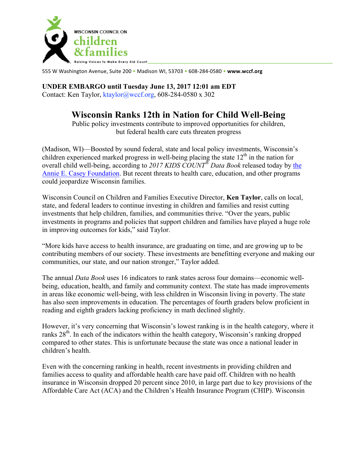

555 W Washington Avenue, Suite 200 • Madison WI, 53703 • 608-284-0580 • **www.wccf.org**

## **UNDER EMBARGO until Tuesday June 13, 2017 12:01 am EDT**

Contact: Ken Taylor, ktaylor@wccf.org, 608-284-0580 x 302

## **Wisconsin Ranks 12th in Nation for Child Well-Being**

Public policy investments contribute to improved opportunities for children, but federal health care cuts threaten progress

(Madison, WI)—Boosted by sound federal, state and local policy investments, Wisconsin's children experienced marked progress in well-being placing the state  $12<sup>th</sup>$  in the nation for overall child well-being, according to *2017 KIDS COUNT® Data Book* released today by the Annie E. Casey Foundation. But recent threats to health care, education, and other programs could jeopardize Wisconsin families.

Wisconsin Council on Children and Families Executive Director, **Ken Taylor**, calls on local, state, and federal leaders to continue investing in children and families and resist cutting investments that help children, families, and communities thrive. "Over the years, public investments in programs and policies that support children and families have played a huge role in improving outcomes for kids," said Taylor.

"More kids have access to health insurance, are graduating on time, and are growing up to be contributing members of our society. These investments are benefitting everyone and making our communities, our state, and our nation stronger," Taylor added.

The annual *Data Book* uses 16 indicators to rank states across four domains—economic wellbeing, education, health, and family and community context. The state has made improvements in areas like economic well-being, with less children in Wisconsin living in poverty. The state has also seen improvements in education. The percentages of fourth graders below proficient in reading and eighth graders lacking proficiency in math declined slightly.

However, it's very concerning that Wisconsin's lowest ranking is in the health category, where it ranks 28<sup>th</sup>. In each of the indicators within the health category, Wisconsin's ranking dropped compared to other states. This is unfortunate because the state was once a national leader in children's health.

Even with the concerning ranking in health, recent investments in providing children and families access to quality and affordable health care have paid off. Children with no health insurance in Wisconsin dropped 20 percent since 2010, in large part due to key provisions of the Affordable Care Act (ACA) and the Children's Health Insurance Program (CHIP). Wisconsin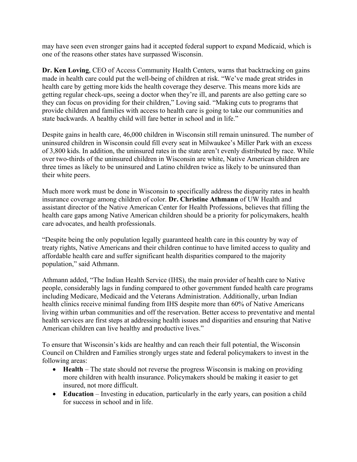may have seen even stronger gains had it accepted federal support to expand Medicaid, which is one of the reasons other states have surpassed Wisconsin.

**Dr. Ken Loving**, CEO of Access Community Health Centers, warns that backtracking on gains made in health care could put the well-being of children at risk. "We've made great strides in health care by getting more kids the health coverage they deserve. This means more kids are getting regular check-ups, seeing a doctor when they're ill, and parents are also getting care so they can focus on providing for their children," Loving said. "Making cuts to programs that provide children and families with access to health care is going to take our communities and state backwards. A healthy child will fare better in school and in life."

Despite gains in health care, 46,000 children in Wisconsin still remain uninsured. The number of uninsured children in Wisconsin could fill every seat in Milwaukee's Miller Park with an excess of 3,800 kids. In addition, the uninsured rates in the state aren't evenly distributed by race. While over two-thirds of the uninsured children in Wisconsin are white, Native American children are three times as likely to be uninsured and Latino children twice as likely to be uninsured than their white peers.

Much more work must be done in Wisconsin to specifically address the disparity rates in health insurance coverage among children of color. **Dr. Christine Athmann** of UW Health and assistant director of the Native American Center for Health Professions, believes that filling the health care gaps among Native American children should be a priority for policymakers, health care advocates, and health professionals.

"Despite being the only population legally guaranteed health care in this country by way of treaty rights, Native Americans and their children continue to have limited access to quality and affordable health care and suffer significant health disparities compared to the majority population," said Athmann.

Athmann added, "The Indian Health Service (IHS), the main provider of health care to Native people, considerably lags in funding compared to other government funded health care programs including Medicare, Medicaid and the Veterans Administration. Additionally, urban Indian health clinics receive minimal funding from IHS despite more than 60% of Native Americans living within urban communities and off the reservation. Better access to preventative and mental health services are first steps at addressing health issues and disparities and ensuring that Native American children can live healthy and productive lives."

To ensure that Wisconsin's kids are healthy and can reach their full potential, the Wisconsin Council on Children and Families strongly urges state and federal policymakers to invest in the following areas:

- **Health** The state should not reverse the progress Wisconsin is making on providing more children with health insurance. Policymakers should be making it easier to get insured, not more difficult.
- **Education** Investing in education, particularly in the early years, can position a child for success in school and in life.